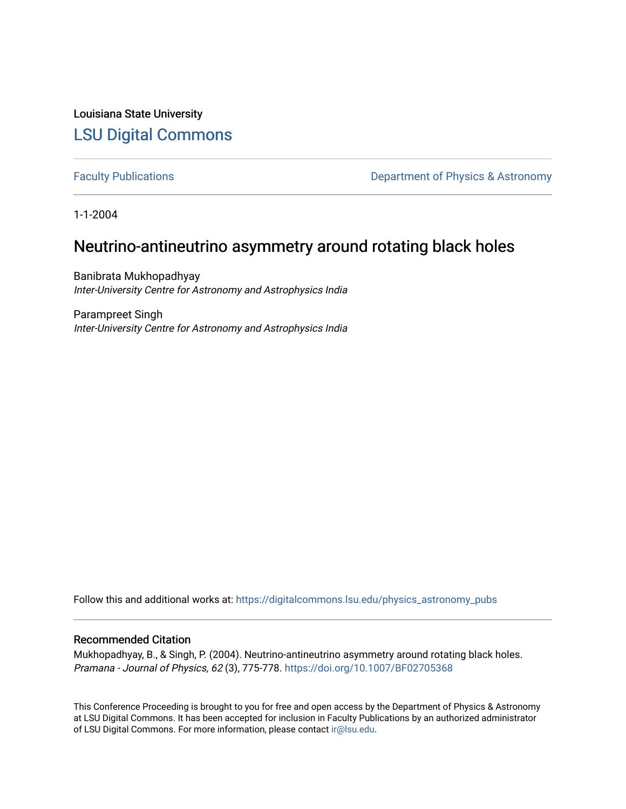Louisiana State University [LSU Digital Commons](https://digitalcommons.lsu.edu/)

[Faculty Publications](https://digitalcommons.lsu.edu/physics_astronomy_pubs) **Exercise 2 and Table 2 and Table 2 and Table 2 and Table 2 and Table 2 and Table 2 and Table 2 and Table 2 and Table 2 and Table 2 and Table 2 and Table 2 and Table 2 and Table 2 and Table 2 and Table** 

1-1-2004

# Neutrino-antineutrino asymmetry around rotating black holes

Banibrata Mukhopadhyay Inter-University Centre for Astronomy and Astrophysics India

Parampreet Singh Inter-University Centre for Astronomy and Astrophysics India

Follow this and additional works at: [https://digitalcommons.lsu.edu/physics\\_astronomy\\_pubs](https://digitalcommons.lsu.edu/physics_astronomy_pubs?utm_source=digitalcommons.lsu.edu%2Fphysics_astronomy_pubs%2F5103&utm_medium=PDF&utm_campaign=PDFCoverPages) 

### Recommended Citation

Mukhopadhyay, B., & Singh, P. (2004). Neutrino-antineutrino asymmetry around rotating black holes. Pramana - Journal of Physics, 62 (3), 775-778. <https://doi.org/10.1007/BF02705368>

This Conference Proceeding is brought to you for free and open access by the Department of Physics & Astronomy at LSU Digital Commons. It has been accepted for inclusion in Faculty Publications by an authorized administrator of LSU Digital Commons. For more information, please contact [ir@lsu.edu](mailto:ir@lsu.edu).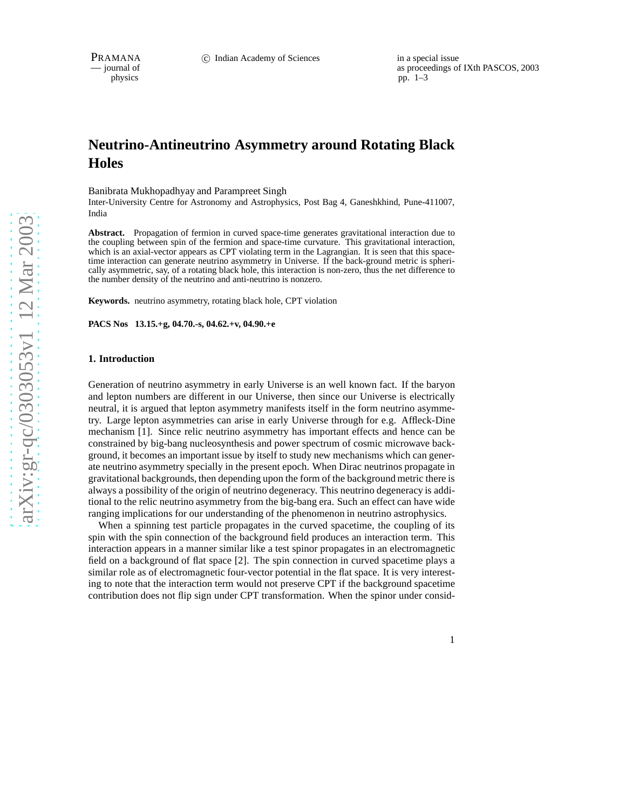physics<br>
as proceedings of IXth PASCOS, 2003<br>
pp. 1–3 physics pp. 1–3

## **Neutrino-Antineutrino Asymmetry around Rotating Black Holes**

Banibrata Mukhopadhyay and Parampreet Singh

Inter-University Centre for Astronomy and Astrophysics, Post Bag 4, Ganeshkhind, Pune-411007, India

**Abstract.** Propagation of fermion in curved space-time generates gravitational interaction due to the coupling between spin of the fermion and space-time curvature. This gravitational interaction, which is an axial-vector appears as CPT violating term in the Lagrangian. It is seen that this spacetime interaction can generate neutrino asymmetry in Universe. If the back-ground metric is spherically asymmetric, say, of a rotating black hole, this interaction is non-zero, thus the net difference to the number density of the neutrino and anti-neutrino is nonzero.

**Keywords.** neutrino asymmetry, rotating black hole, CPT violation

**PACS Nos 13.15.+g, 04.70.-s, 04.62.+v, 04.90.+e**

#### **1. Introduction**

Generation of neutrino asymmetry in early Universe is an well known fact. If the baryon and lepton numbers are different in our Universe, then since our Universe is electrically neutral, it is argued that lepton asymmetry manifests itself in the form neutrino asymmetry. Large lepton asymmetries can arise in early Universe through for e.g. Affleck-Dine mechanism [1]. Since relic neutrino asymmetry has important effects and hence can be constrained by big-bang nucleosynthesis and power spectrum of cosmic microwave background, it becomes an important issue by itself to study new mechanisms which can generate neutrino asymmetry specially in the present epoch. When Dirac neutrinos propagate in gravitational backgrounds, then depending upon the form of the background metric there is always a possibility of the origin of neutrino degeneracy. This neutrino degeneracy is additional to the relic neutrino asymmetry from the big-bang era. Such an effect can have wide ranging implications for our understanding of the phenomenon in neutrino astrophysics.

When a spinning test particle propagates in the curved spacetime, the coupling of its spin with the spin connection of the background field produces an interaction term. This interaction appears in a manner similar like a test spinor propagates in an electromagnetic field on a background of flat space [2]. The spin connection in curved spacetime plays a similar role as of electromagnetic four-vector potential in the flat space. It is very interesting to note that the interaction term would not preserve CPT if the background spacetime contribution does not flip sign under CPT transformation. When the spinor under consid-

1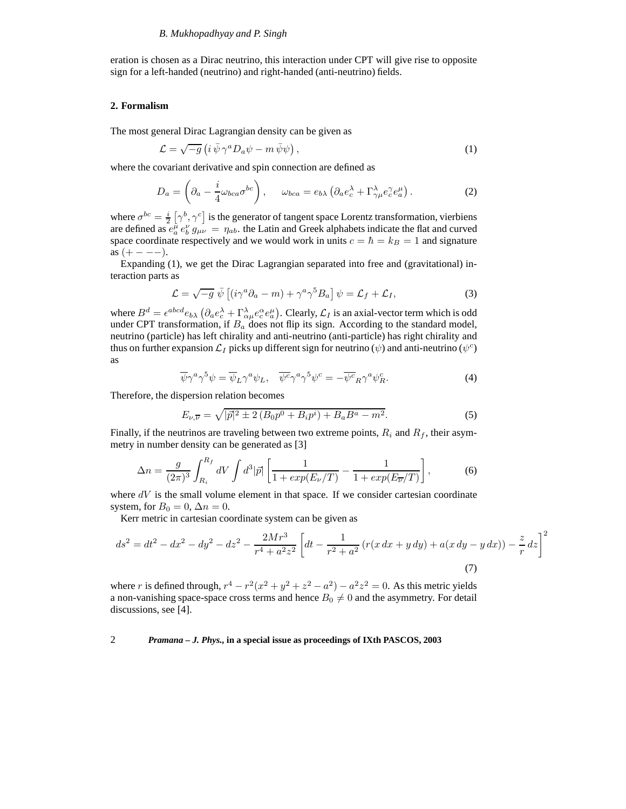eration is chosen as a Dirac neutrino, this interaction under CPT will give rise to opposite sign for a left-handed (neutrino) and right-handed (anti-neutrino) fields.

#### **2. Formalism**

The most general Dirac Lagrangian density can be given as

$$
\mathcal{L} = \sqrt{-g} \left( i \,\bar{\psi} \,\gamma^a D_a \psi - m \,\bar{\psi} \psi \right),\tag{1}
$$

where the covariant derivative and spin connection are defined as

$$
D_a = \left(\partial_a - \frac{i}{4}\omega_{bca}\sigma^{bc}\right), \qquad \omega_{bca} = e_{b\lambda}\left(\partial_a e_c^{\lambda} + \Gamma^{\lambda}_{\gamma\mu} e_c^{\gamma} e_a^{\mu}\right). \tag{2}
$$

where  $\sigma^{bc} = \frac{i}{2} [\gamma^b, \gamma^c]$  is the generator of tangent space Lorentz transformation, vierbiens are defined as  $e_a^{\mu}e_b^{\nu}g_{\mu\nu} = \eta_{ab}$ , the Latin and Greek alphabets indicate the flat and curved space coordinate respectively and we would work in units  $c = \hbar = k_B = 1$  and signature as  $(+ - - -).$ 

Expanding (1), we get the Dirac Lagrangian separated into free and (gravitational) interaction parts as

$$
\mathcal{L} = \sqrt{-g} \; \bar{\psi} \left[ (i\gamma^a \partial_a - m) + \gamma^a \gamma^5 B_a \right] \psi = \mathcal{L}_f + \mathcal{L}_I,
$$
 (3)

where  $B^d = \epsilon^{abcd} e_{b\lambda} \left( \partial_a e_c^{\lambda} + \Gamma^{\lambda}_{\alpha\mu} e_c^{\alpha} e_a^{\mu} \right)$ . Clearly,  $\mathcal{L}_I$  is an axial-vector term which is odd under CPT transformation, if  $B_a$  does not flip its sign. According to the standard model, neutrino (particle) has left chirality and anti-neutrino (anti-particle) has right chirality and thus on further expansion  $\mathcal{L}_I$  picks up different sign for neutrino  $(\psi)$  and anti-neutrino  $(\psi^c)$ as

$$
\overline{\psi}\gamma^a\gamma^5\psi = \overline{\psi}_L\gamma^a\psi_L, \quad \overline{\psi^c}\gamma^a\gamma^5\psi^c = -\overline{\psi^c}_R\gamma^a\psi^c_R. \tag{4}
$$

Therefore, the dispersion relation becomes

$$
E_{\nu,\overline{\nu}} = \sqrt{|\vec{p}|^2 \pm 2 (B_0 p^0 + B_i p^i) + B_a B^a - m^2}.
$$
 (5)

Finally, if the neutrinos are traveling between two extreme points,  $R_i$  and  $R_f$ , their asymmetry in number density can be generated as [3]

$$
\Delta n = \frac{g}{(2\pi)^3} \int_{R_i}^{R_f} dV \int d^3 |\vec{p}| \left[ \frac{1}{1 + exp(E_\nu/T)} - \frac{1}{1 + exp(E_{\overline{\nu}}/T)} \right],
$$
 (6)

where  $dV$  is the small volume element in that space. If we consider cartesian coordinate system, for  $B_0 = 0$ ,  $\Delta n = 0$ .

Kerr metric in cartesian coordinate system can be given as

$$
ds^{2} = dt^{2} - dx^{2} - dy^{2} - dz^{2} - \frac{2Mr^{3}}{r^{4} + a^{2}z^{2}} \left[ dt - \frac{1}{r^{2} + a^{2}} \left( r(x dx + y dy) + a(x dy - y dx) \right) - \frac{z}{r} dz \right]^{2}
$$
\n(7)

where r is defined through,  $r^4 - r^2(x^2 + y^2 + z^2 - a^2) - a^2z^2 = 0$ . As this metric yields a non-vanishing space-space cross terms and hence  $B_0 \neq 0$  and the asymmetry. For detail discussions, see [4].

#### 2 *Pramana – J. Phys.,* **in a special issue as proceedings of IXth PASCOS, 2003**